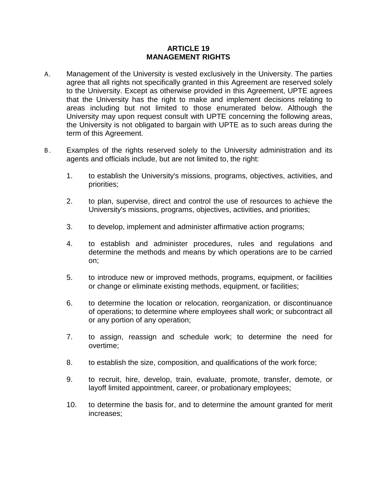## **ARTICLE 19 MANAGEMENT RIGHTS**

- A. Management of the University is vested exclusively in the University. The parties agree that all rights not specifically granted in this Agreement are reserved solely to the University. Except as otherwise provided in this Agreement, UPTE agrees that the University has the right to make and implement decisions relating to areas including but not limited to those enumerated below. Although the University may upon request consult with UPTE concerning the following areas, the University is not obligated to bargain with UPTE as to such areas during the term of this Agreement.
- B. Examples of the rights reserved solely to the University administration and its agents and officials include, but are not limited to, the right:
	- 1. to establish the University's missions, programs, objectives, activities, and priorities;
	- 2. to plan, supervise, direct and control the use of resources to achieve the University's missions, programs, objectives, activities, and priorities;
	- 3. to develop, implement and administer affirmative action programs;
	- 4. to establish and administer procedures, rules and regulations and determine the methods and means by which operations are to be carried on;
	- 5. to introduce new or improved methods, programs, equipment, or facilities or change or eliminate existing methods, equipment, or facilities;
	- 6. to determine the location or relocation, reorganization, or discontinuance of operations; to determine where employees shall work; or subcontract all or any portion of any operation;
	- 7. to assign, reassign and schedule work; to determine the need for overtime;
	- 8. to establish the size, composition, and qualifications of the work force;
	- 9. to recruit, hire, develop, train, evaluate, promote, transfer, demote, or layoff limited appointment, career, or probationary employees;
	- 10. to determine the basis for, and to determine the amount granted for merit increases;